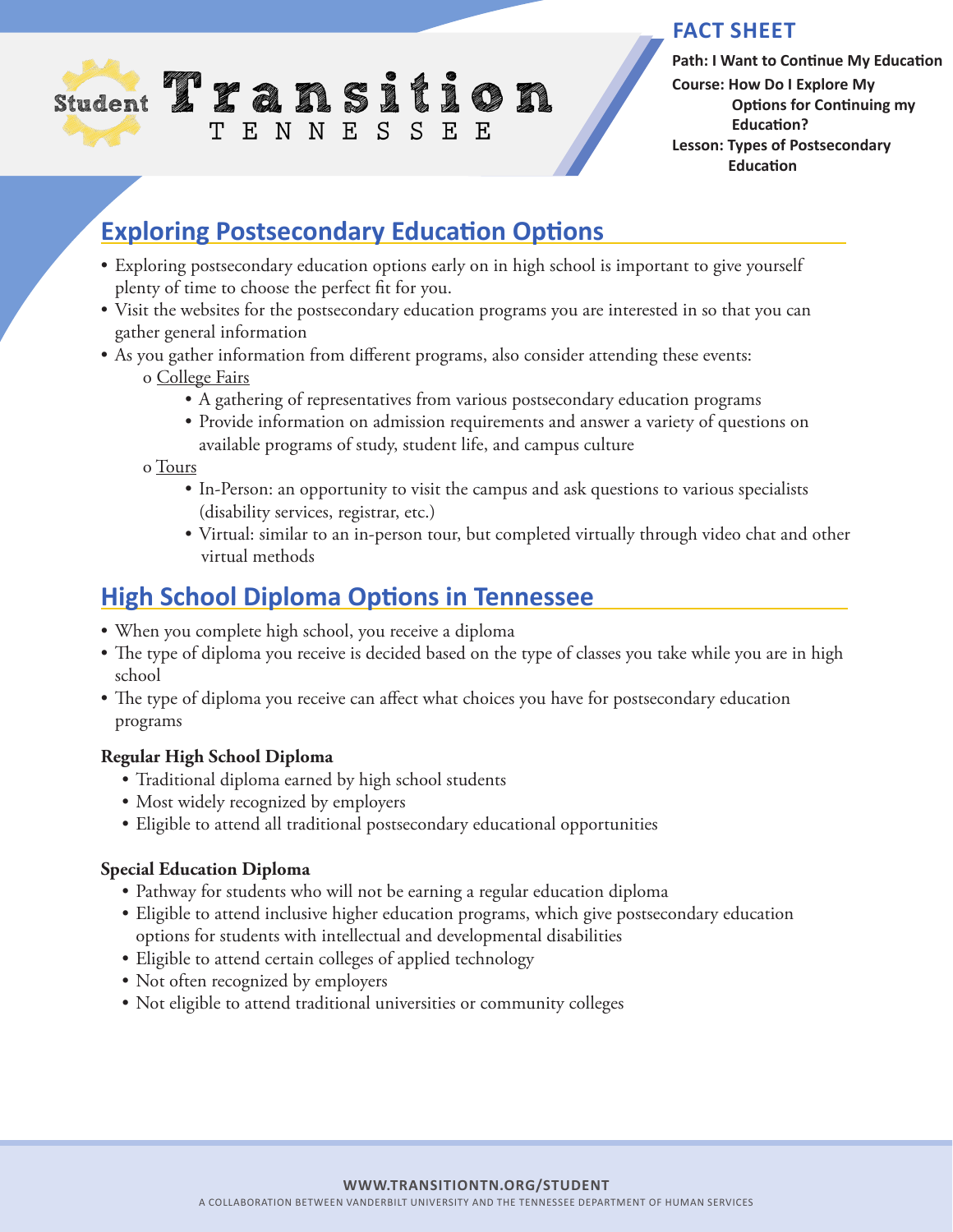

### **FACT SHEET**

**Path: I Want to Continue My Education Course: How Do I Explore My Options for Continuing my Education? Lesson: Types of Postsecondary Education** 

# **Exploring Postsecondary Education Options**

- Exploring postsecondary education options early on in high school is important to give yourself plenty of time to choose the perfect fit for you.
- Visit the websites for the postsecondary education programs you are interested in so that you can gather general information
- As you gather information from different programs, also consider attending these events:

### o College Fairs

- A gathering of representatives from various postsecondary education programs
- Provide information on admission requirements and answer a variety of questions on available programs of study, student life, and campus culture

o Tours

- In-Person: an opportunity to visit the campus and ask questions to various specialists (disability services, registrar, etc.)
- Virtual: similar to an in-person tour, but completed virtually through video chat and other virtual methods

## **High School Diploma Options in Tennessee**

- When you complete high school, you receive a diploma
- The type of diploma you receive is decided based on the type of classes you take while you are in high school
- The type of diploma you receive can affect what choices you have for postsecondary education programs

### **Regular High School Diploma**

- Traditional diploma earned by high school students
- Most widely recognized by employers
- Eligible to attend all traditional postsecondary educational opportunities

### **Special Education Diploma**

- Pathway for students who will not be earning a regular education diploma
- Eligible to attend inclusive higher education programs, which give postsecondary education options for students with intellectual and developmental disabilities
- Eligible to attend certain colleges of applied technology
- Not often recognized by employers
- Not eligible to attend traditional universities or community colleges

#### **WWW.TRANSITIONTN.ORG/STUDENT**

A COLLABORATION BETWEEN VANDERBILT UNIVERSITY AND THE TENNESSEE DEPARTMENT OF HUMAN SERVICES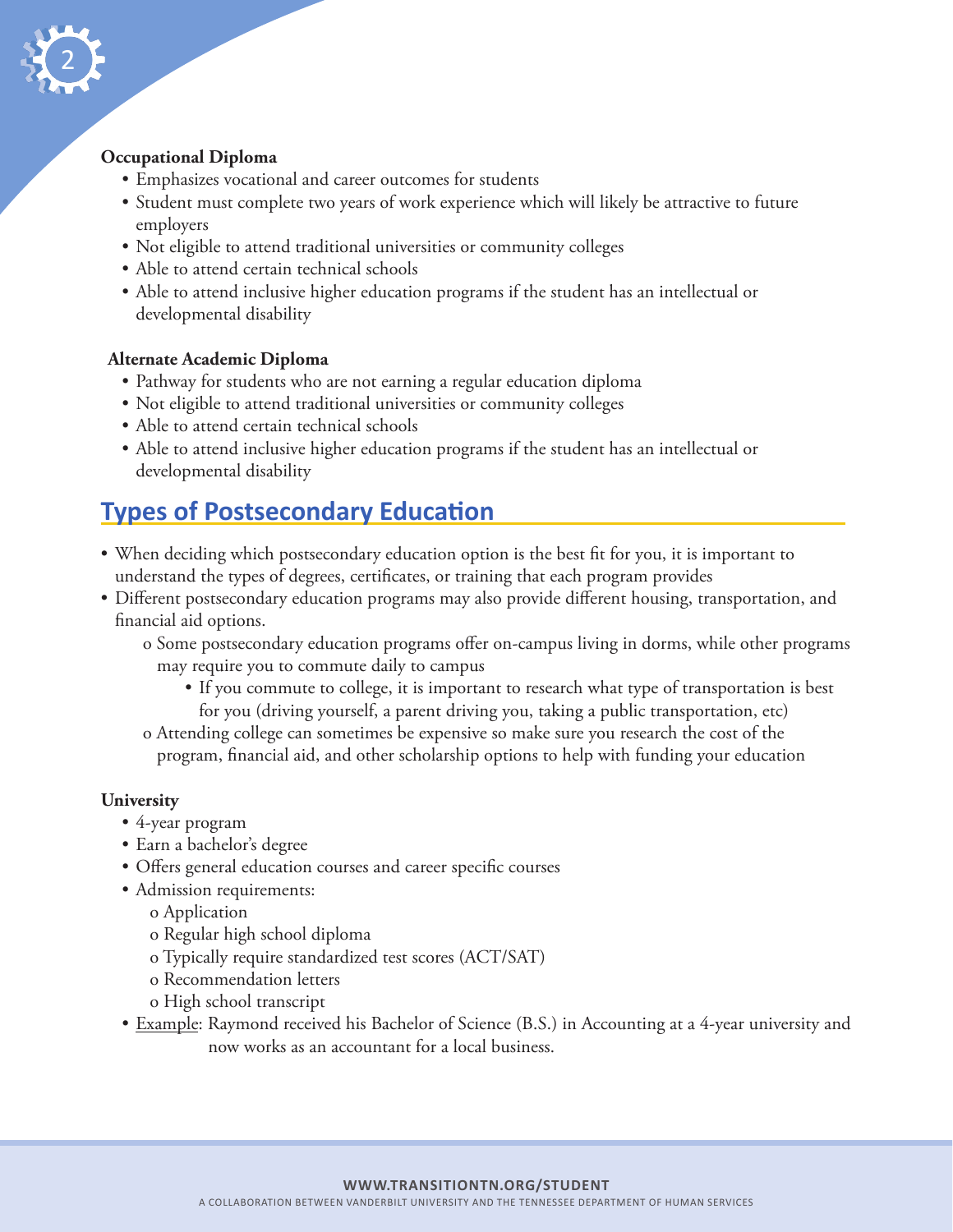

### **Occupational Diploma**

- Emphasizes vocational and career outcomes for students
- Student must complete two years of work experience which will likely be attractive to future employers
- Not eligible to attend traditional universities or community colleges
- Able to attend certain technical schools
- Able to attend inclusive higher education programs if the student has an intellectual or developmental disability

#### **Alternate Academic Diploma**

- Pathway for students who are not earning a regular education diploma
- Not eligible to attend traditional universities or community colleges
- Able to attend certain technical schools
- Able to attend inclusive higher education programs if the student has an intellectual or developmental disability

## **Types of Postsecondary Education**

- When deciding which postsecondary education option is the best fit for you, it is important to understand the types of degrees, certificates, or training that each program provides
- Different postsecondary education programs may also provide different housing, transportation, and financial aid options.
	- o Some postsecondary education programs offer on-campus living in dorms, while other programs may require you to commute daily to campus
		- If you commute to college, it is important to research what type of transportation is best for you (driving yourself, a parent driving you, taking a public transportation, etc)
	- o Attending college can sometimes be expensive so make sure you research the cost of the program, financial aid, and other scholarship options to help with funding your education

### **University**

- 4-year program
- Earn a bachelor's degree
- Offers general education courses and career specific courses
- Admission requirements:
	- o Application
	- o Regular high school diploma
	- o Typically require standardized test scores (ACT/SAT)
	- o Recommendation letters
	- o High school transcript
- Example: Raymond received his Bachelor of Science (B.S.) in Accounting at a 4-year university and now works as an accountant for a local business.

#### **WWW.TRANSITIONTN.ORG/STUDENT**

A COLLABORATION BETWEEN VANDERBILT UNIVERSITY AND THE TENNESSEE DEPARTMENT OF HUMAN SERVICES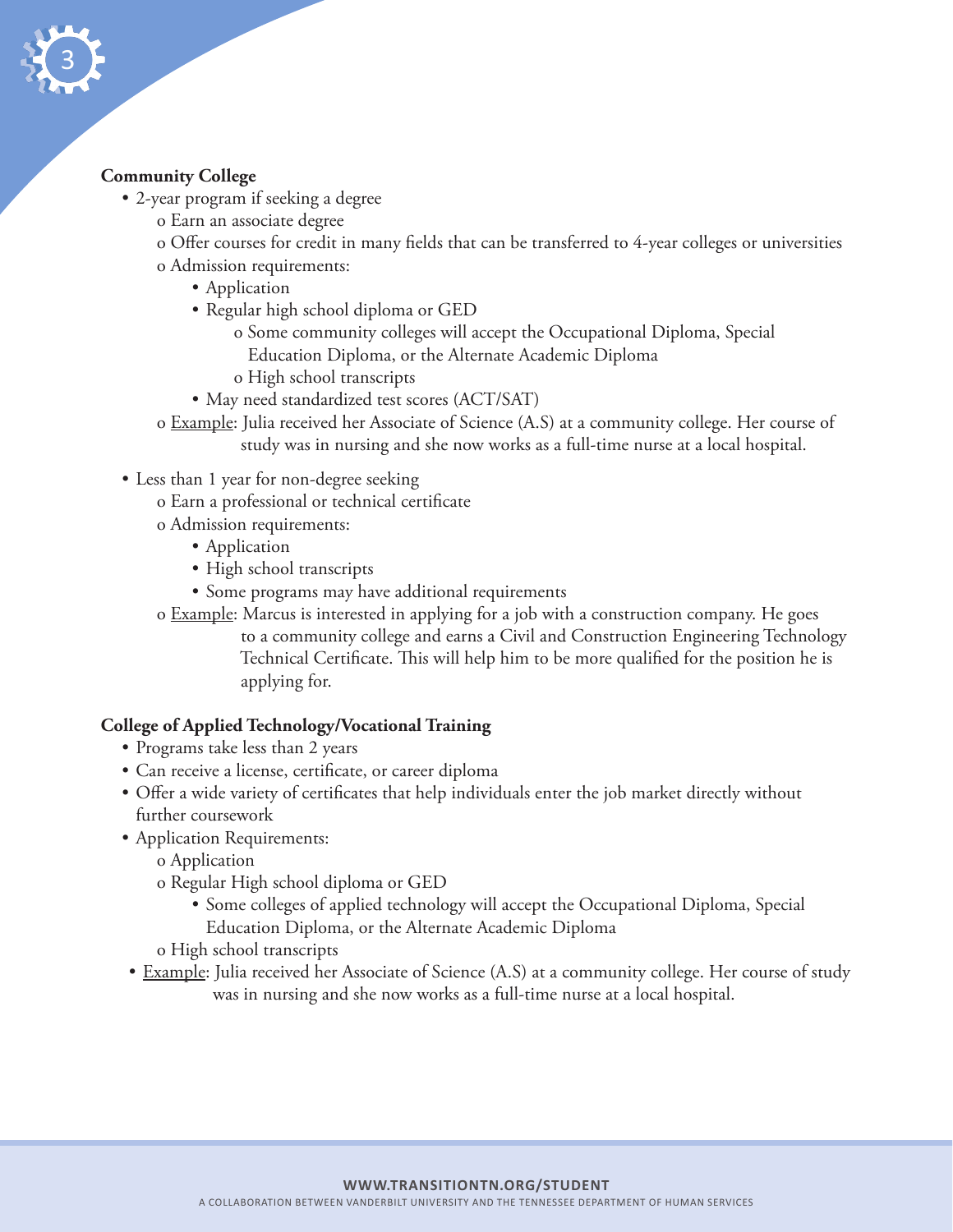

### **Community College**

- 2-year program if seeking a degree
	- o Earn an associate degree
	- o Offer courses for credit in many fields that can be transferred to 4-year colleges or universities o Admission requirements:
		- Application
		- Regular high school diploma or GED
			- o Some community colleges will accept the Occupational Diploma, Special Education Diploma, or the Alternate Academic Diploma
			- o High school transcripts
		- May need standardized test scores (ACT/SAT)
	- o Example: Julia received her Associate of Science (A.S) at a community college. Her course of study was in nursing and she now works as a full-time nurse at a local hospital.
- Less than 1 year for non-degree seeking
	- o Earn a professional or technical certificate
	- o Admission requirements:
		- Application
		- High school transcripts
		- Some programs may have additional requirements
	- o Example: Marcus is interested in applying for a job with a construction company. He goes to a community college and earns a Civil and Construction Engineering Technology Technical Certificate. This will help him to be more qualified for the position he is applying for.

### **College of Applied Technology/Vocational Training**

- Programs take less than 2 years
- Can receive a license, certificate, or career diploma
- Offer a wide variety of certificates that help individuals enter the job market directly without further coursework
- Application Requirements:
	- o Application
	- o Regular High school diploma or GED
		- Some colleges of applied technology will accept the Occupational Diploma, Special Education Diploma, or the Alternate Academic Diploma
	- o High school transcripts
- Example: Julia received her Associate of Science (A.S) at a community college. Her course of study was in nursing and she now works as a full-time nurse at a local hospital.

#### **WWW.TRANSITIONTN.ORG/STUDENT**

A COLLABORATION BETWEEN VANDERBILT UNIVERSITY AND THE TENNESSEE DEPARTMENT OF HUMAN SERVICES